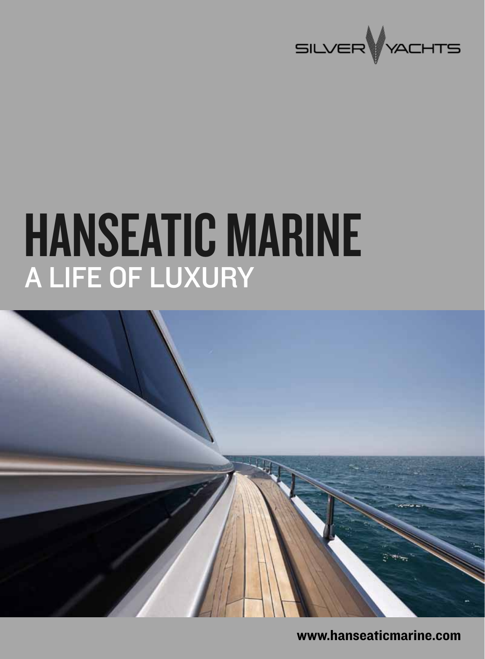

# HANSEATIC MARINE A life of luxury



www.hanseaticmarine.com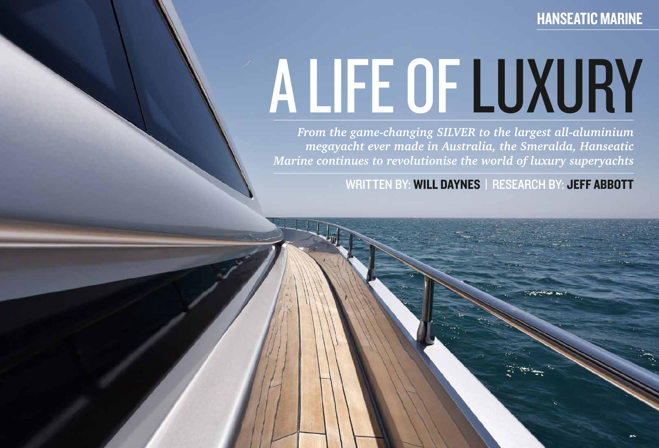# A life of luxury

*From the game-changing SILVER to the largest all-aluminium megayacht ever made in Australia, the Smeralda, Hanseatic Marine continues to revolutionise the world of luxury superyachts*

WRITTEN BY: WILL DAYNES | RESEARCH BY: JEFF ABBOTT

## **HANSEATIC MARINE**

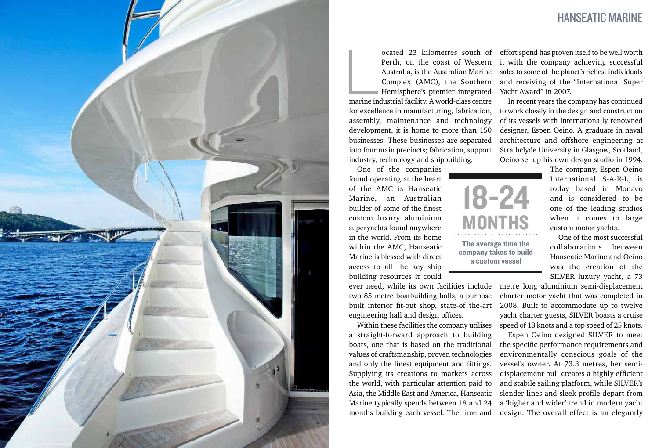

ocated 23 kilometres south of<br>
Perth, on the coast of Western<br>
Australia, is the Australian Marine<br>
Complex (AMC), the Southern<br>
Hemisphere's premier integrated<br>
marine industrial facility. A world-class centre Perth, on the coast of Western Australia, is the Australian Marine Complex (AMC), the Southern Hemisphere's premier integrated

for excellence in manufacturing, fabrication, assembly, maintenance and technology development, it is home to more than 150 businesses. These businesses are separated into four main precincts; fabrication, support industry, technology and shipbuilding.

One of the companies found operating at the heart of the AMC is Hanseatic Marine, an Australian builder of some of the finest custom luxury aluminium superyachts found anywhere in the world. From its home within the AMC, Hanseatic Marine is blessed with direct access to all the key ship building resources it could

ever need, while its own facilities include two 85 metre boatbuilding halls, a purpose built interior fit-out shop, state-of the-art engineering hall and design offices.

Within these facilities the company utilises a straight-forward approach to building boats, one that is based on the traditional values of craftsmanship, proven technologies and only the finest equipment and fittings. Supplying its creations to markets across the world, with particular attention paid to Asia, the Middle East and America, Hanseatic Marine typically spends between 18 and 24 months building each vessel. The time and

effort spend has proven itself to be well worth it with the company achieving successful sales to some of the planet's richest individuals and receiving of the "International Super Yacht Award" in 2007.

In recent years the company has continued to work closely in the design and construction of its vessels with internationally renowned designer, Espen Oeino. A graduate in naval architecture and offshore engineering at Strathclyde University in Glasgow, Scotland, Oeino set up his own design studio in 1994.

> The company, Espen Oeino International S-A-R-L, is today based in Monaco and is considered to be one of the leading studios when it comes to large custom motor yachts.

> One of the most successful collaborations between Hanseatic Marine and Oeino was the creation of the SILVER luxury yacht, a 73

metre long aluminium semi-displacement charter motor yacht that was completed in 2008. Built to accommodate up to twelve yacht charter guests, SILVER boasts a cruise speed of 18 knots and a top speed of 25 knots. Espen Oeino designed SILVER to meet the specific performance requirements and environmentally conscious goals of the vessel's owner. At 73.3 metres, her semidisplacement hull creates a highly efficient and stabile sailing platform, while SILVER's slender lines and sleek profile depart from a 'higher and wider' trend in modern yacht design. The overall effect is an elegantly

18-24 **MONTHS** The average time the company takes to build a custom vessel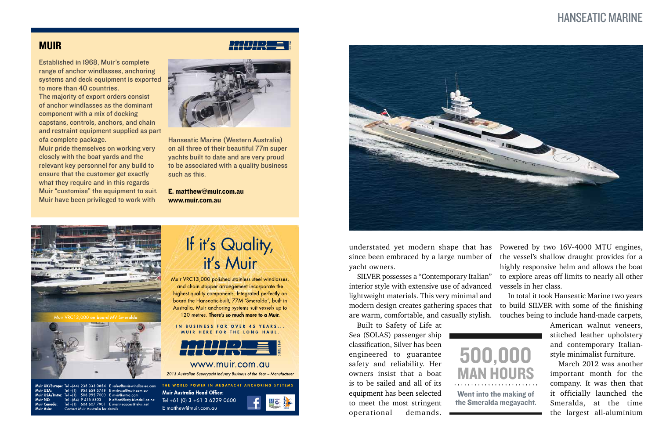#### **MUIR**

### Hanseatic Marine



understated yet modern shape that has since been embraced by a large number of yacht owners.

SILVER possesses a "Contemporary Italian" interior style with extensive use of advanced lightweight materials. This very minimal and modern design creates gathering spaces that are warm, comfortable, and casually stylish.

Built to Safety of Life at Sea (SOLAS) passenger ship classification, Silver has been engineered to guarantee safety and reliability. Her owners insist that a boat is to be sailed and all of its equipment has been selected to meet the most stringent operational demands.



Powered by two 16V-4000 MTU engines, the vessel's shallow draught provides for a highly responsive helm and allows the boat to explore areas off limits to nearly all other vessels in her class.

In total it took Hanseatic Marine two years to build SILVER with some of the finishing touches being to include hand-made carpets,

> American walnut veneers, stitched leather upholstery and contemporary Italianstyle minimalist furniture.

> March 2012 was another important month for the company. It was then that it officially launched the Smeralda, at the time the largest all-aluminium

Established in 1968, Muir's complete range of anchor windlasses, anchoring systems and deck equipment is exported to more than 40 countries.

The majority of export orders consist of anchor windlasses as the dominant component with a mix of docking capstans, controls, anchors, and chain and restraint equipment supplied as part ofa complete package.

Muir pride themselves on working very closely with the boat yards and the relevant key personnel for any build to ensure that the customer get exactly what they require and in this regards Muir "customise" the equipment to suit. Muir have been privileged to work with



Hanseatic Marine (Western Australia) on all three of their beautiful 77m super yachts built to date and are very proud to be associated with a quality business such as this.

E. matthew@muir.com.au www.muir.com.au



508 995 7000 E muir@imtra.com

9 4 1 5 8 3 0 3

604 607 7901 E mari

**Muir Australia Head Office:** Tel +61 (0) 3 +61 3 6229 0600 E office@lusty-blundell.co.nz E matthew@muir.com.au





500,000 man hours Went into the making of the Smeralda megayacht.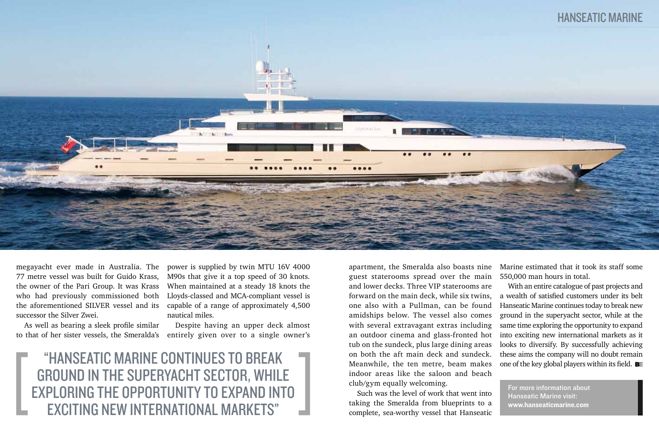"Hanseatic Marine continues to break ground in the superyacht sector, while exploring the opportunity to expand into exciting new international markets"

megayacht ever made in Australia. The 77 metre vessel was built for Guido Krass, the owner of the Pari Group. It was Krass who had previously commissioned both the aforementioned SILVER vessel and its successor the Silver Zwei.

As well as bearing a sleek profile similar to that of her sister vessels, the Smeralda's

apartment, the Smeralda also boasts nine guest staterooms spread over the main and lower decks. Three VIP staterooms are forward on the main deck, while six twins, one also with a Pullman, can be found amidships below. The vessel also comes with several extravagant extras including an outdoor cinema and glass-fronted hot tub on the sundeck, plus large dining areas on both the aft main deck and sundeck. Meanwhile, the ten metre, beam makes indoor areas like the saloon and beach club/gym equally welcoming.

With an entire catalogue of past projects and a wealth of satisfied customers under its belt Hanseatic Marine continues today to break new ground in the superyacht sector, while at the same time exploring the opportunity to expand into exciting new international markets as it looks to diversify. By successfully achieving these aims the company will no doubt remain one of the key global players within its field.  $\blacksquare$ 

Such was the level of work that went into taking the Smeralda from blueprints to a complete, sea-worthy vessel that Hanseatic

power is supplied by twin MTU 16V 4000 M90s that give it a top speed of 30 knots. When maintained at a steady 18 knots the Lloyds-classed and MCA-compliant vessel is capable of a range of approximately 4,500 nautical miles.

Despite having an upper deck almost entirely given over to a single owner's Marine estimated that it took its staff some 550,000 man hours in total.



For more information about Hanseatic Marine visit: www.hanseaticmarine.com